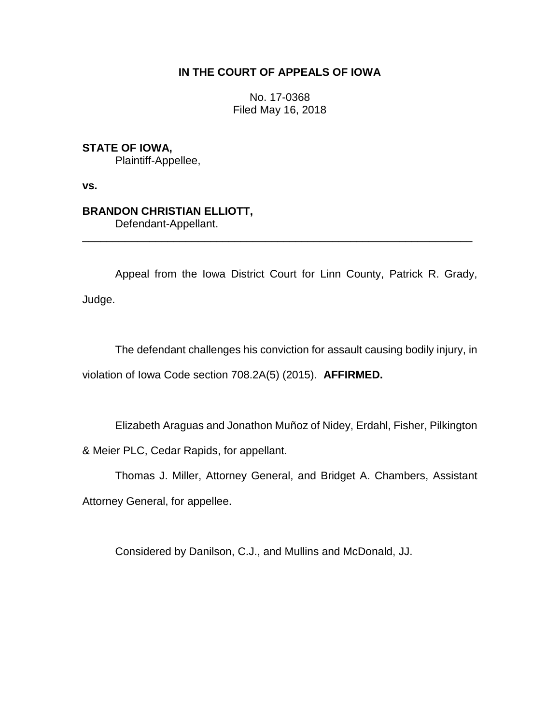## **IN THE COURT OF APPEALS OF IOWA**

No. 17-0368 Filed May 16, 2018

**STATE OF IOWA,**

Plaintiff-Appellee,

**vs.**

## **BRANDON CHRISTIAN ELLIOTT,**

Defendant-Appellant.

Appeal from the Iowa District Court for Linn County, Patrick R. Grady, Judge.

\_\_\_\_\_\_\_\_\_\_\_\_\_\_\_\_\_\_\_\_\_\_\_\_\_\_\_\_\_\_\_\_\_\_\_\_\_\_\_\_\_\_\_\_\_\_\_\_\_\_\_\_\_\_\_\_\_\_\_\_\_\_\_\_

The defendant challenges his conviction for assault causing bodily injury, in violation of Iowa Code section 708.2A(5) (2015). **AFFIRMED.**

Elizabeth Araguas and Jonathon Muñoz of Nidey, Erdahl, Fisher, Pilkington

& Meier PLC, Cedar Rapids, for appellant.

Thomas J. Miller, Attorney General, and Bridget A. Chambers, Assistant

Attorney General, for appellee.

Considered by Danilson, C.J., and Mullins and McDonald, JJ.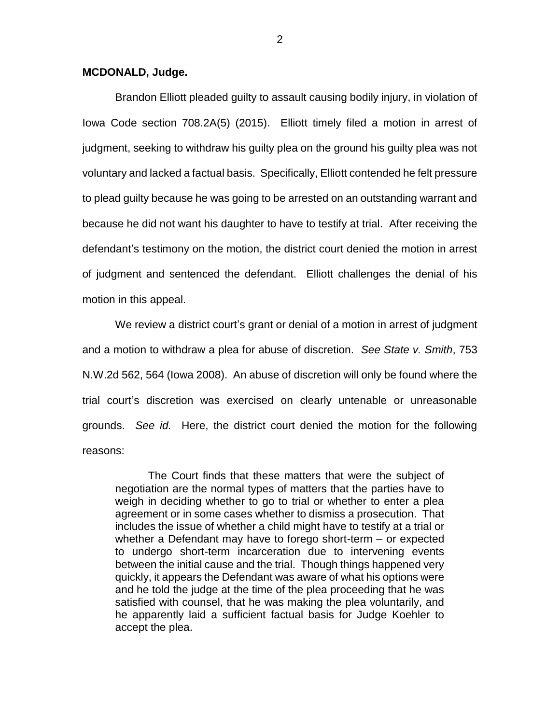## **MCDONALD, Judge.**

Brandon Elliott pleaded guilty to assault causing bodily injury, in violation of Iowa Code section 708.2A(5) (2015). Elliott timely filed a motion in arrest of judgment, seeking to withdraw his guilty plea on the ground his guilty plea was not voluntary and lacked a factual basis. Specifically, Elliott contended he felt pressure to plead guilty because he was going to be arrested on an outstanding warrant and because he did not want his daughter to have to testify at trial. After receiving the defendant's testimony on the motion, the district court denied the motion in arrest of judgment and sentenced the defendant. Elliott challenges the denial of his motion in this appeal.

We review a district court's grant or denial of a motion in arrest of judgment and a motion to withdraw a plea for abuse of discretion. *See State v. Smith*, 753 N.W.2d 562, 564 (Iowa 2008). An abuse of discretion will only be found where the trial court's discretion was exercised on clearly untenable or unreasonable grounds. *See id.* Here, the district court denied the motion for the following reasons:

The Court finds that these matters that were the subject of negotiation are the normal types of matters that the parties have to weigh in deciding whether to go to trial or whether to enter a plea agreement or in some cases whether to dismiss a prosecution. That includes the issue of whether a child might have to testify at a trial or whether a Defendant may have to forego short-term – or expected to undergo short-term incarceration due to intervening events between the initial cause and the trial. Though things happened very quickly, it appears the Defendant was aware of what his options were and he told the judge at the time of the plea proceeding that he was satisfied with counsel, that he was making the plea voluntarily, and he apparently laid a sufficient factual basis for Judge Koehler to accept the plea.